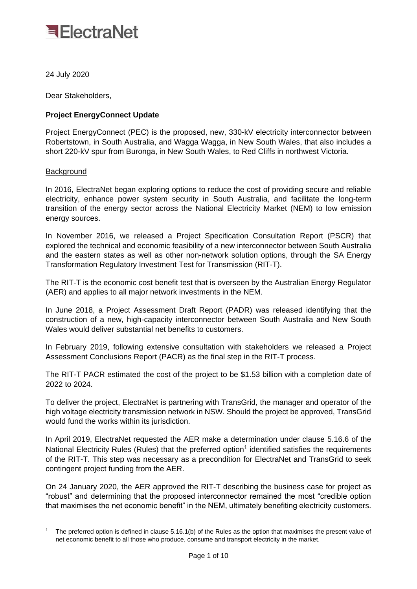

24 July 2020

Dear Stakeholders,

## **Project EnergyConnect Update**

Project EnergyConnect (PEC) is the proposed, new, 330-kV electricity interconnector between Robertstown, in South Australia, and Wagga Wagga, in New South Wales, that also includes a short 220-kV spur from Buronga, in New South Wales, to Red Cliffs in northwest Victoria.

## **Background**

In 2016, ElectraNet began exploring options to reduce the cost of providing secure and reliable electricity, enhance power system security in South Australia, and facilitate the long-term transition of the energy sector across the National Electricity Market (NEM) to low emission energy sources.

In November 2016, we released a Project Specification Consultation Report (PSCR) that explored the technical and economic feasibility of a new interconnector between South Australia and the eastern states as well as other non-network solution options, through the SA Energy Transformation Regulatory Investment Test for Transmission (RIT-T).

The RIT-T is the economic cost benefit test that is overseen by the Australian Energy Regulator (AER) and applies to all major network investments in the NEM.

In June 2018, a Project Assessment Draft Report (PADR) was released identifying that the construction of a new, high-capacity interconnector between South Australia and New South Wales would deliver substantial net benefits to customers.

In February 2019, following extensive consultation with stakeholders we released a Project Assessment Conclusions Report (PACR) as the final step in the RIT-T process.

The RIT-T PACR estimated the cost of the project to be \$1.53 billion with a completion date of 2022 to 2024.

To deliver the project, ElectraNet is partnering with TransGrid, the manager and operator of the high voltage electricity transmission network in NSW. Should the project be approved, TransGrid would fund the works within its jurisdiction.

In April 2019, ElectraNet requested the AER make a determination under clause 5.16.6 of the National Electricity Rules (Rules) that the preferred option<sup>1</sup> identified satisfies the requirements of the RIT-T. This step was necessary as a precondition for ElectraNet and TransGrid to seek contingent project funding from the AER.

On 24 January 2020, the AER approved the RIT-T describing the business case for project as "robust" and determining that the proposed interconnector remained the most "credible option that maximises the net economic benefit" in the NEM, ultimately benefiting electricity customers.

<sup>1</sup> The preferred option is defined in clause 5.16.1(b) of the Rules as the option that maximises the present value of net economic benefit to all those who produce, consume and transport electricity in the market.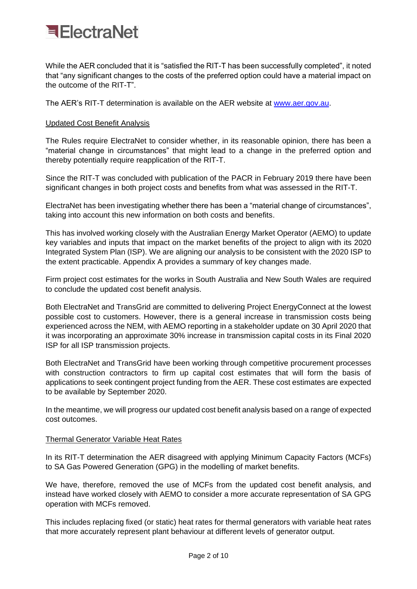

While the AER concluded that it is "satisfied the RIT-T has been successfully completed", it noted that "any significant changes to the costs of the preferred option could have a material impact on the outcome of the RIT-T".

The AER's RIT-T determination is available on the [AER website](https://www.aer.gov.au/networks-pipelines/determinations-access-arrangements/contingent-projects/electranet-sa-energy-transformation-regulatory-investment-test-for-transmission-rit-t) at [www.aer.gov.au.](http://www.aer.gov.au/)

### Updated Cost Benefit Analysis

The Rules require ElectraNet to consider whether, in its reasonable opinion, there has been a "material change in circumstances" that might lead to a change in the preferred option and thereby potentially require reapplication of the RIT-T.

Since the RIT-T was concluded with publication of the PACR in February 2019 there have been significant changes in both project costs and benefits from what was assessed in the RIT-T.

ElectraNet has been investigating whether there has been a "material change of circumstances", taking into account this new information on both costs and benefits.

This has involved working closely with the Australian Energy Market Operator (AEMO) to update key variables and inputs that impact on the market benefits of the project to align with its 2020 Integrated System Plan (ISP). We are aligning our analysis to be consistent with the 2020 ISP to the extent practicable. Appendix A provides a summary of key changes made.

Firm project cost estimates for the works in South Australia and New South Wales are required to conclude the updated cost benefit analysis.

Both ElectraNet and TransGrid are committed to delivering Project EnergyConnect at the lowest possible cost to customers. However, there is a general increase in transmission costs being experienced across the NEM, with AEMO reporting in a stakeholder update on 30 April 2020 that it was incorporating an approximate 30% increase in transmission capital costs in its Final 2020 ISP for all ISP transmission projects.

Both ElectraNet and TransGrid have been working through competitive procurement processes with construction contractors to firm up capital cost estimates that will form the basis of applications to seek contingent project funding from the AER. These cost estimates are expected to be available by September 2020.

In the meantime, we will progress our updated cost benefit analysis based on a range of expected cost outcomes.

### Thermal Generator Variable Heat Rates

In its RIT-T determination the AER disagreed with applying Minimum Capacity Factors (MCFs) to SA Gas Powered Generation (GPG) in the modelling of market benefits.

We have, therefore, removed the use of MCFs from the updated cost benefit analysis, and instead have worked closely with AEMO to consider a more accurate representation of SA GPG operation with MCFs removed.

This includes replacing fixed (or static) heat rates for thermal generators with variable heat rates that more accurately represent plant behaviour at different levels of generator output.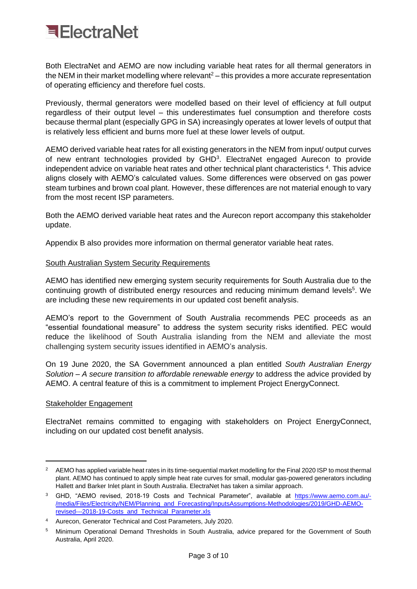

Both ElectraNet and AEMO are now including variable heat rates for all thermal generators in the NEM in their market modelling where relevant $2 -$  this provides a more accurate representation of operating efficiency and therefore fuel costs.

Previously, thermal generators were modelled based on their level of efficiency at full output regardless of their output level – this underestimates fuel consumption and therefore costs because thermal plant (especially GPG in SA) increasingly operates at lower levels of output that is relatively less efficient and burns more fuel at these lower levels of output.

AEMO derived variable heat rates for all existing generators in the NEM from input/ output curves of new entrant technologies provided by GHD<sup>3</sup>. ElectraNet engaged Aurecon to provide independent advice on variable heat rates and other technical plant characteristics <sup>4</sup>. This advice aligns closely with AEMO's calculated values. Some differences were observed on gas power steam turbines and brown coal plant. However, these differences are not material enough to vary from the most recent ISP parameters.

Both the AEMO derived variable heat rates and the Aurecon report accompany this stakeholder update.

Appendix B also provides more information on thermal generator variable heat rates.

### South Australian System Security Requirements

AEMO has identified new emerging system security requirements for South Australia due to the continuing growth of distributed energy resources and reducing minimum demand levels<sup>5</sup>. We are including these new requirements in our updated cost benefit analysis.

AEMO's report to the Government of South Australia recommends PEC proceeds as an "essential foundational measure" to address the system security risks identified. PEC would reduce the likelihood of South Australia islanding from the NEM and alleviate the most challenging system security issues identified in AEMO's analysis.

On 19 June 2020, the SA Government announced a plan entitled *South Australian Energy Solution – A secure transition to affordable renewable energy* to address the advice provided by AEMO. A central feature of this is a commitment to implement Project EnergyConnect.

### Stakeholder Engagement

ElectraNet remains committed to engaging with stakeholders on Project EnergyConnect, including on our updated cost benefit analysis.

<sup>2</sup> AEMO has applied variable heat rates in its time-sequential market modelling for the Final 2020 ISP to most thermal plant. AEMO has continued to apply simple heat rate curves for small, modular gas-powered generators including Hallett and Barker Inlet plant in South Australia. ElectraNet has taken a similar approach.

<sup>&</sup>lt;sup>3</sup> GHD, "AEMO revised, 2018-19 Costs and Technical Parameter", available at [https://www.aemo.com.au/-](https://www.aemo.com.au/-/media/Files/Electricity/NEM/Planning_and_Forecasting/InputsAssumptions-Methodologies/2019/GHD-AEMO-revised---2018-19-Costs_and_Technical_Parameter.xls) [/media/Files/Electricity/NEM/Planning\\_and\\_Forecasting/InputsAssumptions-Methodologies/2019/GHD-AEMO](https://www.aemo.com.au/-/media/Files/Electricity/NEM/Planning_and_Forecasting/InputsAssumptions-Methodologies/2019/GHD-AEMO-revised---2018-19-Costs_and_Technical_Parameter.xls)[revised---2018-19-Costs\\_and\\_Technical\\_Parameter.xls](https://www.aemo.com.au/-/media/Files/Electricity/NEM/Planning_and_Forecasting/InputsAssumptions-Methodologies/2019/GHD-AEMO-revised---2018-19-Costs_and_Technical_Parameter.xls)

<sup>4</sup> Aurecon, Generator Technical and Cost Parameters, July 2020.

<sup>5</sup> Minimum Operational Demand Thresholds in South Australia, advice prepared for the Government of South Australia, April 2020.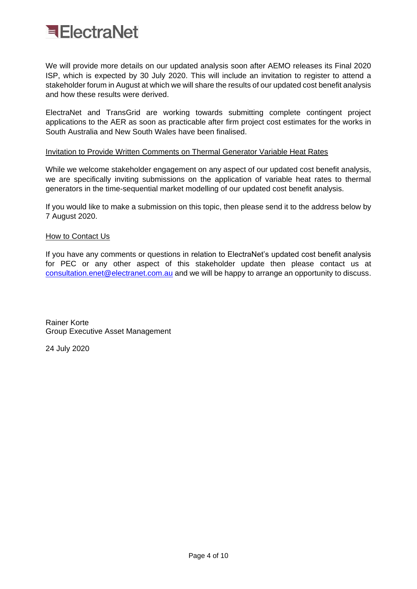

We will provide more details on our updated analysis soon after AEMO releases its Final 2020 ISP, which is expected by 30 July 2020. This will include an invitation to register to attend a stakeholder forum in August at which we will share the results of our updated cost benefit analysis and how these results were derived.

ElectraNet and TransGrid are working towards submitting complete contingent project applications to the AER as soon as practicable after firm project cost estimates for the works in South Australia and New South Wales have been finalised.

### Invitation to Provide Written Comments on Thermal Generator Variable Heat Rates

While we welcome stakeholder engagement on any aspect of our updated cost benefit analysis, we are specifically inviting submissions on the application of variable heat rates to thermal generators in the time-sequential market modelling of our updated cost benefit analysis.

If you would like to make a submission on this topic, then please send it to the address below by 7 August 2020.

## **How to Contact Us**

If you have any comments or questions in relation to ElectraNet's updated cost benefit analysis for PEC or any other aspect of this stakeholder update then please contact us at [consultation.enet@electranet.com.au](mailto:consultation.enet@electranet.com.au) and we will be happy to arrange an opportunity to discuss.

Rainer Korte Group Executive Asset Management

24 July 2020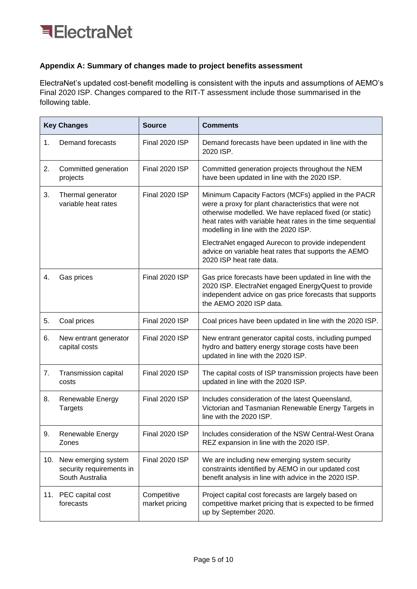## **Appendix A: Summary of changes made to project benefits assessment**

ElectraNet's updated cost-benefit modelling is consistent with the inputs and assumptions of AEMO's Final 2020 ISP. Changes compared to the RIT-T assessment include those summarised in the following table.

| <b>Key Changes</b> |                                                                    | <b>Source</b>                 | <b>Comments</b>                                                                                                                                                                                                                                                             |
|--------------------|--------------------------------------------------------------------|-------------------------------|-----------------------------------------------------------------------------------------------------------------------------------------------------------------------------------------------------------------------------------------------------------------------------|
| 1.                 | Demand forecasts                                                   | <b>Final 2020 ISP</b>         | Demand forecasts have been updated in line with the<br>2020 ISP.                                                                                                                                                                                                            |
| 2.                 | Committed generation<br>projects                                   | Final 2020 ISP                | Committed generation projects throughout the NEM<br>have been updated in line with the 2020 ISP.                                                                                                                                                                            |
| 3.                 | Thermal generator<br>variable heat rates                           | <b>Final 2020 ISP</b>         | Minimum Capacity Factors (MCFs) applied in the PACR<br>were a proxy for plant characteristics that were not<br>otherwise modelled. We have replaced fixed (or static)<br>heat rates with variable heat rates in the time sequential<br>modelling in line with the 2020 ISP. |
|                    |                                                                    |                               | ElectraNet engaged Aurecon to provide independent<br>advice on variable heat rates that supports the AEMO<br>2020 ISP heat rate data.                                                                                                                                       |
| 4.                 | Gas prices                                                         | Final 2020 ISP                | Gas price forecasts have been updated in line with the<br>2020 ISP. ElectraNet engaged EnergyQuest to provide<br>independent advice on gas price forecasts that supports<br>the AEMO 2020 ISP data.                                                                         |
| 5.                 | Coal prices                                                        | Final 2020 ISP                | Coal prices have been updated in line with the 2020 ISP.                                                                                                                                                                                                                    |
| 6.                 | New entrant generator<br>capital costs                             | Final 2020 ISP                | New entrant generator capital costs, including pumped<br>hydro and battery energy storage costs have been<br>updated in line with the 2020 ISP.                                                                                                                             |
| 7.                 | Transmission capital<br>costs                                      | Final 2020 ISP                | The capital costs of ISP transmission projects have been<br>updated in line with the 2020 ISP.                                                                                                                                                                              |
| 8.                 | <b>Renewable Energy</b><br><b>Targets</b>                          | <b>Final 2020 ISP</b>         | Includes consideration of the latest Queensland,<br>Victorian and Tasmanian Renewable Energy Targets in<br>line with the 2020 ISP.                                                                                                                                          |
| 9.                 | Renewable Energy<br>Zones                                          | Final 2020 ISP                | Includes consideration of the NSW Central-West Orana<br>REZ expansion in line with the 2020 ISP.                                                                                                                                                                            |
| 10.                | New emerging system<br>security requirements in<br>South Australia | Final 2020 ISP                | We are including new emerging system security<br>constraints identified by AEMO in our updated cost<br>benefit analysis in line with advice in the 2020 ISP.                                                                                                                |
|                    | 11. PEC capital cost<br>forecasts                                  | Competitive<br>market pricing | Project capital cost forecasts are largely based on<br>competitive market pricing that is expected to be firmed<br>up by September 2020.                                                                                                                                    |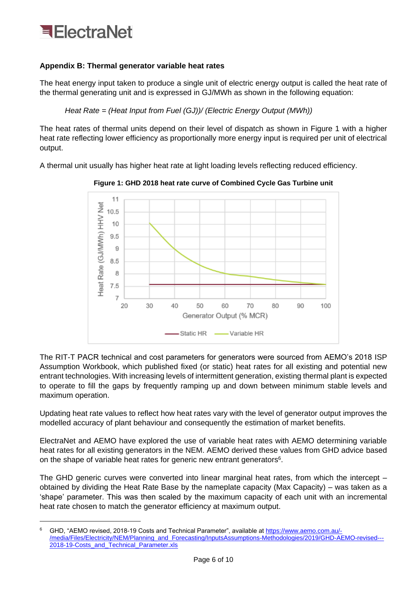## **Appendix B: Thermal generator variable heat rates**

The heat energy input taken to produce a single unit of electric energy output is called the heat rate of the thermal generating unit and is expressed in GJ/MWh as shown in the following equation:

*Heat Rate = (Heat Input from Fuel (GJ))/ (Electric Energy Output (MWh))*

The heat rates of thermal units depend on their level of dispatch as shown in Figure 1 with a higher heat rate reflecting lower efficiency as proportionally more energy input is required per unit of electrical output.

A thermal unit usually has higher heat rate at light loading levels reflecting reduced efficiency.



**Figure 1: GHD 2018 heat rate curve of Combined Cycle Gas Turbine unit**

The RIT-T PACR technical and cost parameters for generators were sourced from AEMO's 2018 ISP Assumption Workbook, which published fixed (or static) heat rates for all existing and potential new entrant technologies. With increasing levels of intermittent generation, existing thermal plant is expected to operate to fill the gaps by frequently ramping up and down between minimum stable levels and maximum operation.

Updating heat rate values to reflect how heat rates vary with the level of generator output improves the modelled accuracy of plant behaviour and consequently the estimation of market benefits.

ElectraNet and AEMO have explored the use of variable heat rates with AEMO determining variable heat rates for all existing generators in the NEM. AEMO derived these values from GHD advice based on the shape of variable heat rates for generic new entrant generators $6$ .

The GHD generic curves were converted into linear marginal heat rates, from which the intercept – obtained by dividing the Heat Rate Base by the nameplate capacity (Max Capacity) – was taken as a 'shape' parameter. This was then scaled by the maximum capacity of each unit with an incremental heat rate chosen to match the generator efficiency at maximum output.

<sup>6</sup> GHD, "AEMO revised, 2018-19 Costs and Technical Parameter", available a[t https://www.aemo.com.au/-](https://www.aemo.com.au/-/media/Files/Electricity/NEM/Planning_and_Forecasting/InputsAssumptions-Methodologies/2019/GHD-AEMO-revised---2018-19-Costs_and_Technical_Parameter.xls) [/media/Files/Electricity/NEM/Planning\\_and\\_Forecasting/InputsAssumptions-Methodologies/2019/GHD-AEMO-revised---](https://www.aemo.com.au/-/media/Files/Electricity/NEM/Planning_and_Forecasting/InputsAssumptions-Methodologies/2019/GHD-AEMO-revised---2018-19-Costs_and_Technical_Parameter.xls) [2018-19-Costs\\_and\\_Technical\\_Parameter.xls](https://www.aemo.com.au/-/media/Files/Electricity/NEM/Planning_and_Forecasting/InputsAssumptions-Methodologies/2019/GHD-AEMO-revised---2018-19-Costs_and_Technical_Parameter.xls)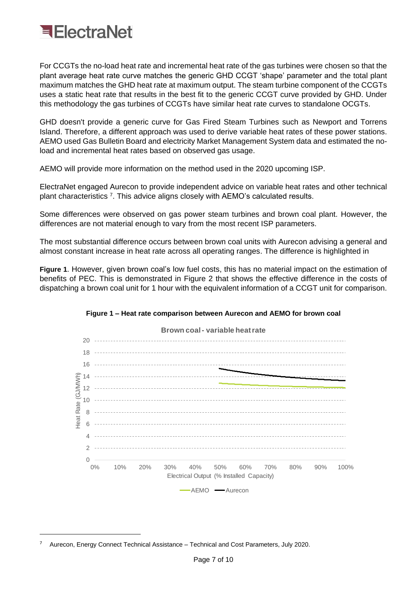

For CCGTs the no-load heat rate and incremental heat rate of the gas turbines were chosen so that the plant average heat rate curve matches the generic GHD CCGT 'shape' parameter and the total plant maximum matches the GHD heat rate at maximum output. The steam turbine component of the CCGTs uses a static heat rate that results in the best fit to the generic CCGT curve provided by GHD. Under this methodology the gas turbines of CCGTs have similar heat rate curves to standalone OCGTs.

GHD doesn't provide a generic curve for Gas Fired Steam Turbines such as Newport and Torrens Island. Therefore, a different approach was used to derive variable heat rates of these power stations. AEMO used Gas Bulletin Board and electricity Market Management System data and estimated the noload and incremental heat rates based on observed gas usage.

AEMO will provide more information on the method used in the 2020 upcoming ISP.

ElectraNet engaged Aurecon to provide independent advice on variable heat rates and other technical plant characteristics <sup>7</sup>. This advice aligns closely with AEMO's calculated results.

Some differences were observed on gas power steam turbines and brown coal plant. However, the differences are not material enough to vary from the most recent ISP parameters.

The most substantial difference occurs between brown coal units with Aurecon advising a general and almost constant increase in heat rate across all operating ranges. The difference is highlighted in

<span id="page-6-0"></span>**[Figure 1](#page-6-0)**. However, given brown coal's low fuel costs, this has no material impact on the estimation of benefits of PEC. This is demonstrated in [Figure 2](#page-7-0) that shows the effective difference in the costs of dispatching a brown coal unit for 1 hour with the equivalent information of a CCGT unit for comparison.



#### **Figure 1 – Heat rate comparison between Aurecon and AEMO for brown coal**

<sup>7</sup> Aurecon, Energy Connect Technical Assistance – Technical and Cost Parameters, July 2020.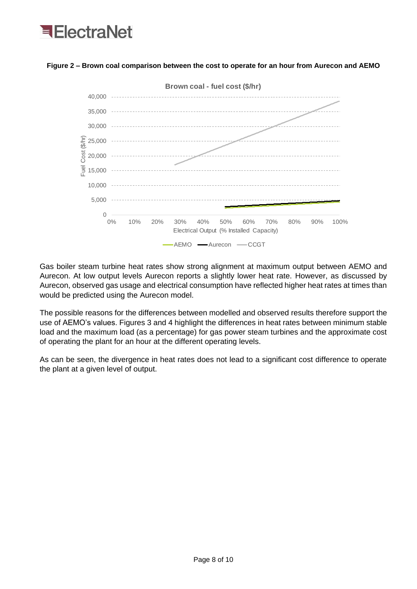

## <span id="page-7-0"></span>**Figure 2 – Brown coal comparison between the cost to operate for an hour from Aurecon and AEMO**

Gas boiler steam turbine heat rates show strong alignment at maximum output between AEMO and Aurecon. At low output levels Aurecon reports a slightly lower heat rate. However, as discussed by Aurecon, observed gas usage and electrical consumption have reflected higher heat rates at times than would be predicted using the Aurecon model.

The possible reasons for the differences between modelled and observed results therefore support the use of AEMO's values. Figures 3 and 4 highlight the differences in heat rates between minimum stable load and the maximum load (as a percentage) for gas power steam turbines and the approximate cost of operating the plant for an hour at the different operating levels.

As can be seen, the divergence in heat rates does not lead to a significant cost difference to operate the plant at a given level of output.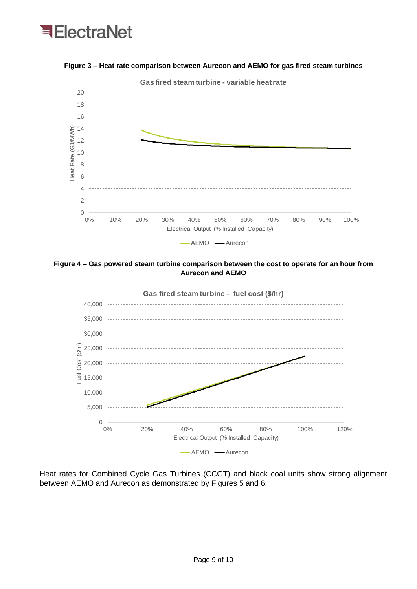

**Figure 3 – Heat rate comparison between Aurecon and AEMO for gas fired steam turbines**





Heat rates for Combined Cycle Gas Turbines (CCGT) and black coal units show strong alignment between AEMO and Aurecon as demonstrated by Figures 5 and 6.